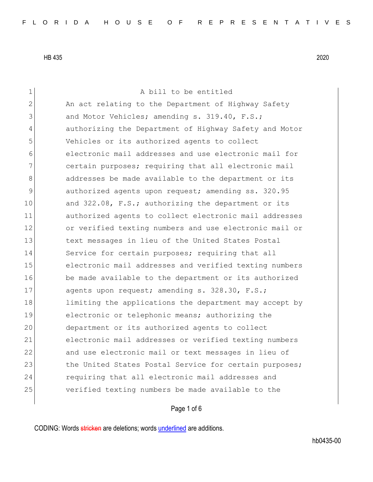1 a bill to be entitled 2 An act relating to the Department of Highway Safety 3 and Motor Vehicles; amending s. 319.40, F.S.; 4 authorizing the Department of Highway Safety and Motor 5 Vehicles or its authorized agents to collect 6 electronic mail addresses and use electronic mail for 7 certain purposes; requiring that all electronic mail 8 addresses be made available to the department or its 9 authorized agents upon request; amending ss. 320.95 10 and 322.08, F.S.; authorizing the department or its 11 authorized agents to collect electronic mail addresses 12 or verified texting numbers and use electronic mail or 13 13 text messages in lieu of the United States Postal 14 Service for certain purposes; requiring that all 15 electronic mail addresses and verified texting numbers 16 be made available to the department or its authorized 17 agents upon request; amending s. 328.30, F.S.; 18 limiting the applications the department may accept by 19 electronic or telephonic means; authorizing the 20 department or its authorized agents to collect 21 electronic mail addresses or verified texting numbers 22 and use electronic mail or text messages in lieu of 23 the United States Postal Service for certain purposes; 24 requiring that all electronic mail addresses and 25 verified texting numbers be made available to the

## Page 1 of 6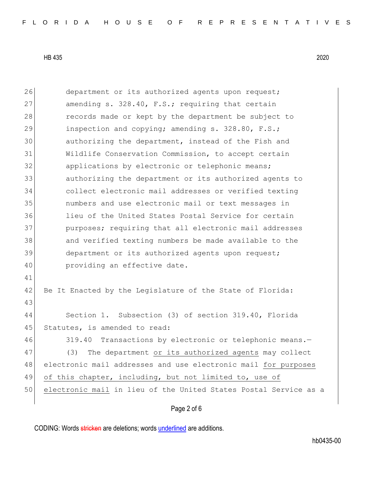| 26 | department or its authorized agents upon request;                |
|----|------------------------------------------------------------------|
| 27 | amending s. 328.40, F.S.; requiring that certain                 |
| 28 | records made or kept by the department be subject to             |
| 29 | inspection and copying; amending s. 328.80, F.S.;                |
| 30 | authorizing the department, instead of the Fish and              |
| 31 | Wildlife Conservation Commission, to accept certain              |
| 32 | applications by electronic or telephonic means;                  |
| 33 | authorizing the department or its authorized agents to           |
| 34 | collect electronic mail addresses or verified texting            |
| 35 | numbers and use electronic mail or text messages in              |
| 36 | lieu of the United States Postal Service for certain             |
| 37 | purposes; requiring that all electronic mail addresses           |
| 38 | and verified texting numbers be made available to the            |
| 39 | department or its authorized agents upon request;                |
| 40 | providing an effective date.                                     |
| 41 |                                                                  |
| 42 | Be It Enacted by the Legislature of the State of Florida:        |
| 43 |                                                                  |
| 44 | Section 1. Subsection (3) of section 319.40, Florida             |
| 45 | Statutes, is amended to read:                                    |
| 46 | Transactions by electronic or telephonic means.-<br>319.40       |
| 47 | The department or its authorized agents may collect<br>(3)       |
| 48 | electronic mail addresses and use electronic mail for purposes   |
| 49 | of this chapter, including, but not limited to, use of           |
| 50 | electronic mail in lieu of the United States Postal Service as a |
|    |                                                                  |

## Page 2 of 6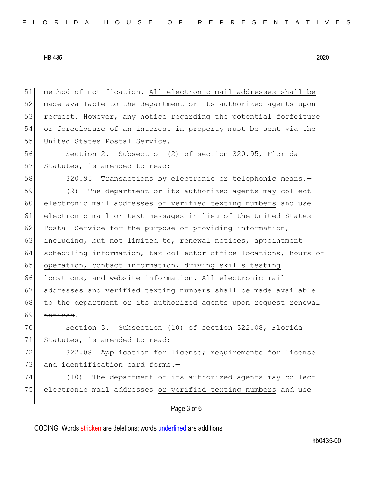51 method of notification. All electronic mail addresses shall be 52 made available to the department or its authorized agents upon 53 request. However, any notice regarding the potential forfeiture 54 or foreclosure of an interest in property must be sent via the 55 United States Postal Service. 56 Section 2. Subsection (2) of section 320.95, Florida 57 Statutes, is amended to read: 58 320.95 Transactions by electronic or telephonic means.-59 (2) The department or its authorized agents may collect 60 electronic mail addresses or verified texting numbers and use 61 electronic mail or text messages in lieu of the United States 62 Postal Service for the purpose of providing information, 63 including, but not limited to, renewal notices, appointment 64 scheduling information, tax collector office locations, hours of 65 operation, contact information, driving skills testing 66 locations, and website information. All electronic mail 67 addresses and verified texting numbers shall be made available 68 to the department or its authorized agents upon request renewal 69 notices. 70 Section 3. Subsection (10) of section 322.08, Florida 71 Statutes, is amended to read: 72 322.08 Application for license; requirements for license 73 and identification card forms.-74 (10) The department or its authorized agents may collect 75 electronic mail addresses or verified texting numbers and use

Page 3 of 6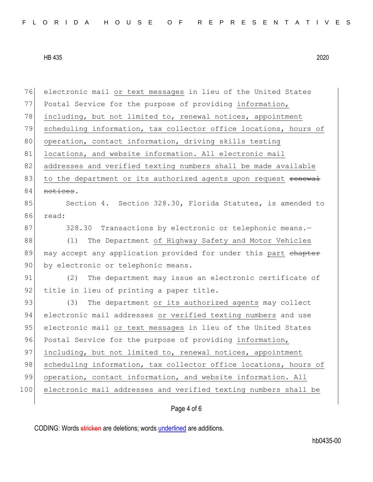| 76  | electronic mail or text messages in lieu of the United States    |
|-----|------------------------------------------------------------------|
| 77  | Postal Service for the purpose of providing information,         |
| 78  | including, but not limited to, renewal notices, appointment      |
| 79  | scheduling information, tax collector office locations, hours of |
| 80  | operation, contact information, driving skills testing           |
| 81  | locations, and website information. All electronic mail          |
| 82  | addresses and verified texting numbers shall be made available   |
| 83  | to the department or its authorized agents upon request renewal  |
| 84  | notices.                                                         |
| 85  | Section 4. Section 328.30, Florida Statutes, is amended to       |
| 86  | read:                                                            |
| 87  | 328.30 Transactions by electronic or telephonic means.-          |
| 88  | The Department of Highway Safety and Motor Vehicles<br>(1)       |
| 89  | may accept any application provided for under this part chapter  |
| 90  | by electronic or telephonic means.                               |
| 91  | The department may issue an electronic certificate of<br>(2)     |
| 92  | title in lieu of printing a paper title.                         |
| 93  | The department or its authorized agents may collect<br>(3)       |
| 94  | electronic mail addresses or verified texting numbers and use    |
| 95  | electronic mail or text messages in lieu of the United States    |
| 96  | Postal Service for the purpose of providing information,         |
| 97  | including, but not limited to, renewal notices, appointment      |
| 98  | scheduling information, tax collector office locations, hours of |
| 99  | operation, contact information, and website information. All     |
| 100 | electronic mail addresses and verified texting numbers shall be  |
|     |                                                                  |

## Page 4 of 6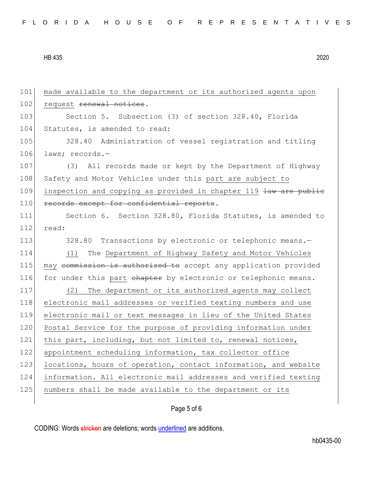101 made available to the department or its authorized agents upon 102 request renewal notices. 103 Section 5. Subsection (3) of section 328.40, Florida 104 Statutes, is amended to read: 105 328.40 Administration of vessel registration and titling 106 laws; records.-107 (3) All records made or kept by the Department of Highway 108 Safety and Motor Vehicles under this part are subject to 109 inspection and copying as provided in chapter 119 law are public 110 records except for confidential reports. 111 Section 6. Section 328.80, Florida Statutes, is amended to 112 read: 113 328.80 Transactions by electronic or telephonic means.-114 (1) The Department of Highway Safety and Motor Vehicles 115 may commission is authorized to accept any application provided 116 for under this part chapter by electronic or telephonic means. 117 (2) The department or its authorized agents may collect 118 electronic mail addresses or verified texting numbers and use 119 electronic mail or text messages in lieu of the United States 120 Postal Service for the purpose of providing information under 121 this part, including, but not limited to, renewal notices, 122 appointment scheduling information, tax collector office 123 locations, hours of operation, contact information, and website 124 information. All electronic mail addresses and verified texting 125 numbers shall be made available to the department or its

## Page 5 of 6